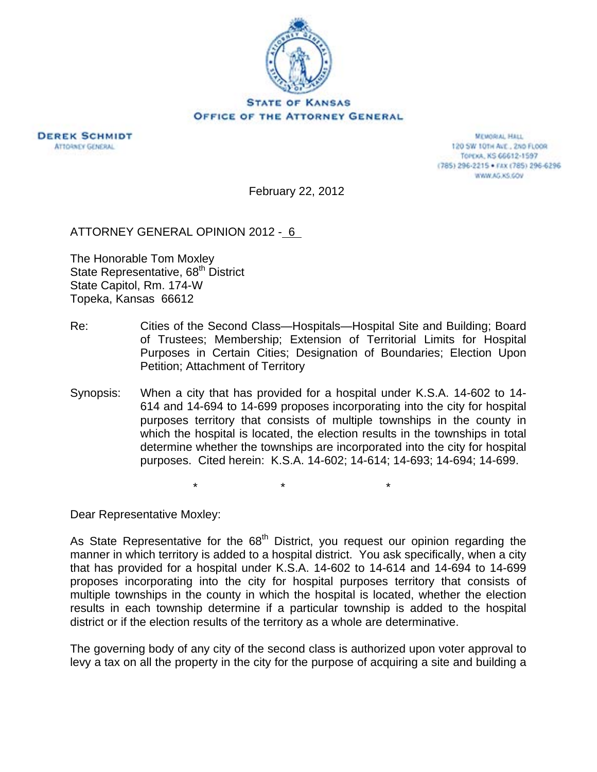



**MEMORIAL HALL** 120 SW 101H AVE., 2ND FLOOR TOPEXA, KS 66612-1597 (785) 296-2215 · FAX (785) 296-6296 WWW.AG.XS.COV

February 22, 2012

ATTORNEY GENERAL OPINION 2012 - 6

The Honorable Tom Moxley State Representative, 68<sup>th</sup> District State Capitol, Rm. 174-W Topeka, Kansas 66612

- Re: Cities of the Second Class—Hospitals—Hospital Site and Building; Board of Trustees; Membership; Extension of Territorial Limits for Hospital Purposes in Certain Cities; Designation of Boundaries; Election Upon Petition; Attachment of Territory
- Synopsis: When a city that has provided for a hospital under K.S.A. 14-602 to 14- 614 and 14-694 to 14-699 proposes incorporating into the city for hospital purposes territory that consists of multiple townships in the county in which the hospital is located, the election results in the townships in total determine whether the townships are incorporated into the city for hospital purposes. Cited herein: K.S.A. 14-602; 14-614; 14-693; 14-694; 14-699.

 $\star$  \* \* \* \*

Dear Representative Moxley:

As State Representative for the  $68<sup>th</sup>$  District, you request our opinion regarding the manner in which territory is added to a hospital district. You ask specifically, when a city that has provided for a hospital under K.S.A. 14-602 to 14-614 and 14-694 to 14-699 proposes incorporating into the city for hospital purposes territory that consists of multiple townships in the county in which the hospital is located, whether the election results in each township determine if a particular township is added to the hospital district or if the election results of the territory as a whole are determinative.

The governing body of any city of the second class is authorized upon voter approval to levy a tax on all the property in the city for the purpose of acquiring a site and building a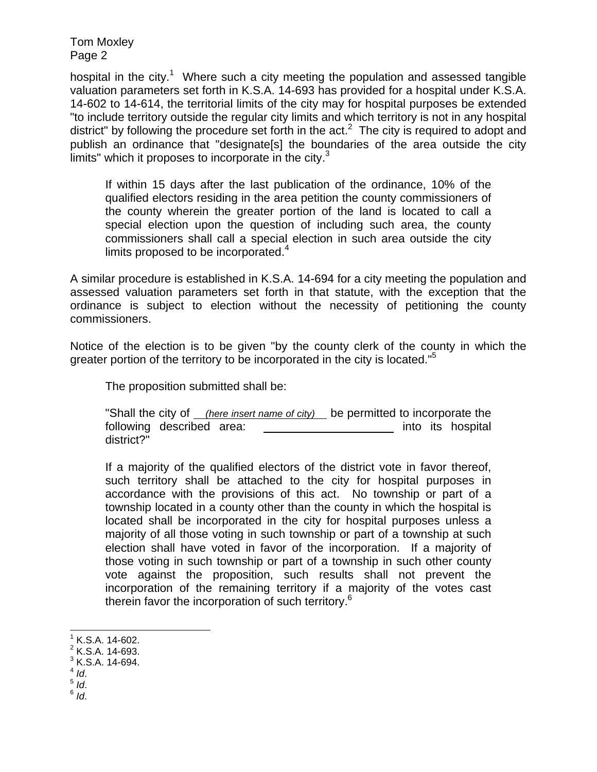Tom Moxley Page 2

hospital in the city.<sup>1</sup> Where such a city meeting the population and assessed tangible valuation parameters set forth in K.S.A. 14-693 has provided for a hospital under K.S.A. 14-602 to 14-614, the territorial limits of the city may for hospital purposes be extended "to include territory outside the regular city limits and which territory is not in any hospital district" by following the procedure set forth in the act.<sup>2</sup> The city is required to adopt and publish an ordinance that "designate[s] the boundaries of the area outside the city limits" which it proposes to incorporate in the city. $3$ 

If within 15 days after the last publication of the ordinance, 10% of the qualified electors residing in the area petition the county commissioners of the county wherein the greater portion of the land is located to call a special election upon the question of including such area, the county commissioners shall call a special election in such area outside the city limits proposed to be incorporated. $4$ 

A similar procedure is established in K.S.A. 14-694 for a city meeting the population and assessed valuation parameters set forth in that statute, with the exception that the ordinance is subject to election without the necessity of petitioning the county commissioners.

Notice of the election is to be given "by the county clerk of the county in which the greater portion of the territory to be incorporated in the city is located.<sup>"5</sup>

The proposition submitted shall be:

"Shall the city of *(here insert name of city)* be permitted to incorporate the following described area: \_\_\_\_\_\_\_\_\_\_\_\_\_\_\_\_\_\_\_\_\_\_\_ into its hospital district?"

If a majority of the qualified electors of the district vote in favor thereof, such territory shall be attached to the city for hospital purposes in accordance with the provisions of this act. No township or part of a township located in a county other than the county in which the hospital is located shall be incorporated in the city for hospital purposes unless a majority of all those voting in such township or part of a township at such election shall have voted in favor of the incorporation. If a majority of those voting in such township or part of a township in such other county vote against the proposition, such results shall not prevent the incorporation of the remaining territory if a majority of the votes cast therein favor the incorporation of such territory.<sup>6</sup>

l

 $1^1$  K.S.A. 14-602.

 $2$  K.S.A. 14-693.

 $3$  K.S.A. 14-694.

<sup>4</sup> *Id*. 5 *Id*. 6 *Id*.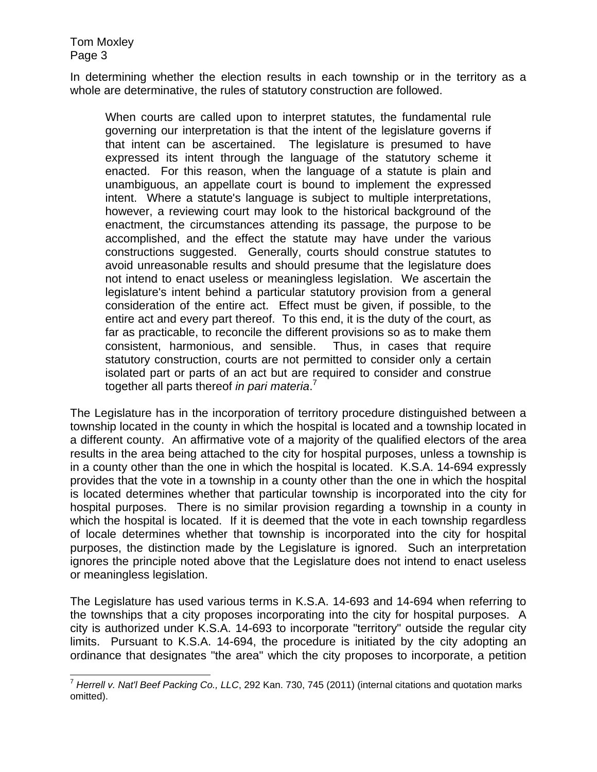Tom Moxley Page 3

In determining whether the election results in each township or in the territory as a whole are determinative, the rules of statutory construction are followed.

When courts are called upon to interpret statutes, the fundamental rule governing our interpretation is that the intent of the legislature governs if that intent can be ascertained. The legislature is presumed to have expressed its intent through the language of the statutory scheme it enacted. For this reason, when the language of a statute is plain and unambiguous, an appellate court is bound to implement the expressed intent. Where a statute's language is subject to multiple interpretations, however, a reviewing court may look to the historical background of the enactment, the circumstances attending its passage, the purpose to be accomplished, and the effect the statute may have under the various constructions suggested. Generally, courts should construe statutes to avoid unreasonable results and should presume that the legislature does not intend to enact useless or meaningless legislation. We ascertain the legislature's intent behind a particular statutory provision from a general consideration of the entire act. Effect must be given, if possible, to the entire act and every part thereof. To this end, it is the duty of the court, as far as practicable, to reconcile the different provisions so as to make them consistent, harmonious, and sensible. Thus, in cases that require statutory construction, courts are not permitted to consider only a certain isolated part or parts of an act but are required to consider and construe together all parts thereof *in pari materia*. 7

The Legislature has in the incorporation of territory procedure distinguished between a township located in the county in which the hospital is located and a township located in a different county. An affirmative vote of a majority of the qualified electors of the area results in the area being attached to the city for hospital purposes, unless a township is in a county other than the one in which the hospital is located. K.S.A. 14-694 expressly provides that the vote in a township in a county other than the one in which the hospital is located determines whether that particular township is incorporated into the city for hospital purposes. There is no similar provision regarding a township in a county in which the hospital is located. If it is deemed that the vote in each township regardless of locale determines whether that township is incorporated into the city for hospital purposes, the distinction made by the Legislature is ignored. Such an interpretation ignores the principle noted above that the Legislature does not intend to enact useless or meaningless legislation.

The Legislature has used various terms in K.S.A. 14-693 and 14-694 when referring to the townships that a city proposes incorporating into the city for hospital purposes. A city is authorized under K.S.A. 14-693 to incorporate "territory" outside the regular city limits. Pursuant to K.S.A. 14-694, the procedure is initiated by the city adopting an ordinance that designates "the area" which the city proposes to incorporate, a petition

 $\overline{a}$ <sup>7</sup> *Herrell v. Nat'l Beef Packing Co., LLC*, 292 Kan. 730, 745 (2011) (internal citations and quotation marks omitted).